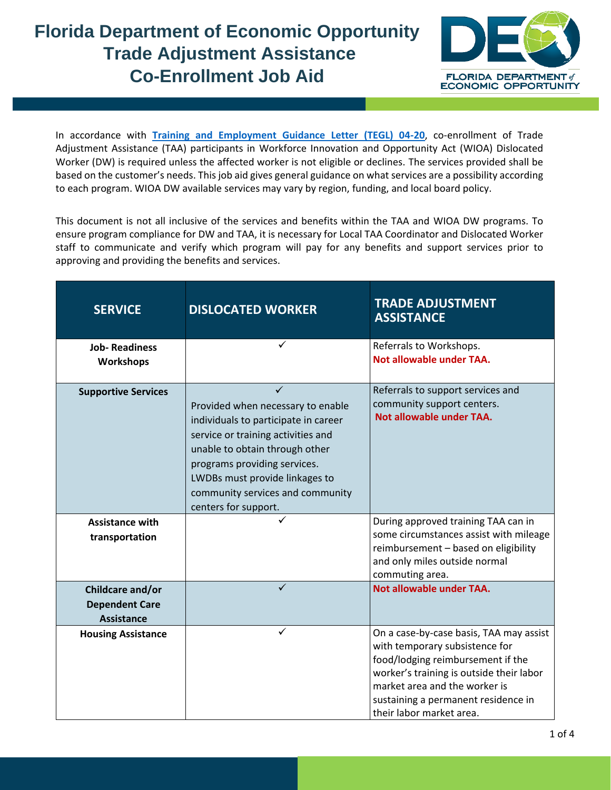## **Florida Department of Economic Opportunity Trade Adjustment Assistance Co-Enrollment Job Aid**



In accordance with **[Training](https://www.ecfr.gov/cgi-bin/text-idx?SID=1b8e9c8df421884a775be24cd2392c9d&node=pt20.3.618&rgn=div5) and Employment Guidance Letter (TEGL) 04-20**, co-enrollment of Trade Adjustment Assistance (TAA) participants in Workforce Innovation and Opportunity Act (WIOA) Dislocated Worker (DW) is required unless the affected worker is not eligible or declines. The services provided shall be based on the customer's needs. This job aid gives general guidance on what services are a possibility according to each program. WIOA DW available services may vary by region, funding, and local board policy.

This document is not all inclusive of the services and benefits within the TAA and WIOA DW programs. To ensure program compliance for DW and TAA, it is necessary for Local TAA Coordinator and Dislocated Worker staff to communicate and verify which program will pay for any benefits and support services prior to approving and providing the benefits and services.

| <b>SERVICE</b>                                                 | <b>DISLOCATED WORKER</b>                                                                                                                                                                                                                                                        | <b>TRADE ADJUSTMENT</b><br><b>ASSISTANCE</b>                                                                                                                                                                                                                   |
|----------------------------------------------------------------|---------------------------------------------------------------------------------------------------------------------------------------------------------------------------------------------------------------------------------------------------------------------------------|----------------------------------------------------------------------------------------------------------------------------------------------------------------------------------------------------------------------------------------------------------------|
| <b>Job-Readiness</b><br><b>Workshops</b>                       | $\checkmark$                                                                                                                                                                                                                                                                    | Referrals to Workshops.<br>Not allowable under TAA.                                                                                                                                                                                                            |
| <b>Supportive Services</b>                                     | Provided when necessary to enable<br>individuals to participate in career<br>service or training activities and<br>unable to obtain through other<br>programs providing services.<br>LWDBs must provide linkages to<br>community services and community<br>centers for support. | Referrals to support services and<br>community support centers.<br>Not allowable under TAA.                                                                                                                                                                    |
| <b>Assistance with</b><br>transportation                       |                                                                                                                                                                                                                                                                                 | During approved training TAA can in<br>some circumstances assist with mileage<br>reimbursement - based on eligibility<br>and only miles outside normal<br>commuting area.                                                                                      |
| Childcare and/or<br><b>Dependent Care</b><br><b>Assistance</b> | ✓                                                                                                                                                                                                                                                                               | Not allowable under TAA.                                                                                                                                                                                                                                       |
| <b>Housing Assistance</b>                                      | $\checkmark$                                                                                                                                                                                                                                                                    | On a case-by-case basis, TAA may assist<br>with temporary subsistence for<br>food/lodging reimbursement if the<br>worker's training is outside their labor<br>market area and the worker is<br>sustaining a permanent residence in<br>their labor market area. |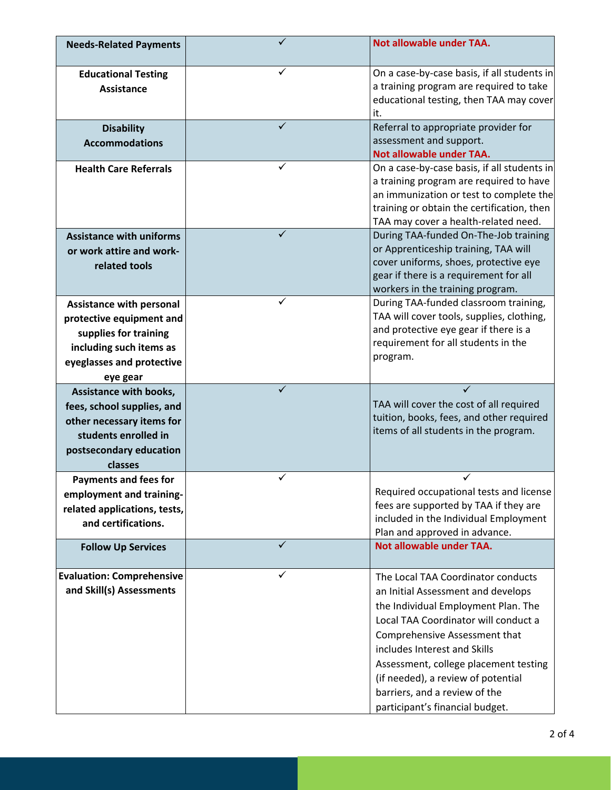| <b>Needs-Related Payments</b>                                                                                                                            |   | Not allowable under TAA.                                                                                                                                                                                                                                                                                                                                                    |
|----------------------------------------------------------------------------------------------------------------------------------------------------------|---|-----------------------------------------------------------------------------------------------------------------------------------------------------------------------------------------------------------------------------------------------------------------------------------------------------------------------------------------------------------------------------|
| <b>Educational Testing</b><br><b>Assistance</b>                                                                                                          |   | On a case-by-case basis, if all students in<br>a training program are required to take<br>educational testing, then TAA may cover<br>it.                                                                                                                                                                                                                                    |
| <b>Disability</b><br><b>Accommodations</b>                                                                                                               |   | Referral to appropriate provider for<br>assessment and support.<br>Not allowable under TAA.                                                                                                                                                                                                                                                                                 |
| <b>Health Care Referrals</b>                                                                                                                             | ✓ | On a case-by-case basis, if all students in<br>a training program are required to have<br>an immunization or test to complete the<br>training or obtain the certification, then<br>TAA may cover a health-related need.                                                                                                                                                     |
| <b>Assistance with uniforms</b><br>or work attire and work-<br>related tools                                                                             | ✓ | During TAA-funded On-The-Job training<br>or Apprenticeship training, TAA will<br>cover uniforms, shoes, protective eye<br>gear if there is a requirement for all<br>workers in the training program.                                                                                                                                                                        |
| <b>Assistance with personal</b><br>protective equipment and<br>supplies for training<br>including such items as<br>eyeglasses and protective<br>eye gear | ✓ | During TAA-funded classroom training,<br>TAA will cover tools, supplies, clothing,<br>and protective eye gear if there is a<br>requirement for all students in the<br>program.                                                                                                                                                                                              |
| Assistance with books,<br>fees, school supplies, and<br>other necessary items for<br>students enrolled in<br>postsecondary education<br>classes          |   | TAA will cover the cost of all required<br>tuition, books, fees, and other required<br>items of all students in the program.                                                                                                                                                                                                                                                |
| <b>Payments and fees for</b><br>employment and training-<br>related applications, tests,<br>and certifications.                                          | ✓ | ✓<br>Required occupational tests and license<br>fees are supported by TAA if they are<br>included in the Individual Employment<br>Plan and approved in advance.                                                                                                                                                                                                             |
| <b>Follow Up Services</b>                                                                                                                                | ✓ | <b>Not allowable under TAA.</b>                                                                                                                                                                                                                                                                                                                                             |
| <b>Evaluation: Comprehensive</b><br>and Skill(s) Assessments                                                                                             |   | The Local TAA Coordinator conducts<br>an Initial Assessment and develops<br>the Individual Employment Plan. The<br>Local TAA Coordinator will conduct a<br>Comprehensive Assessment that<br>includes Interest and Skills<br>Assessment, college placement testing<br>(if needed), a review of potential<br>barriers, and a review of the<br>participant's financial budget. |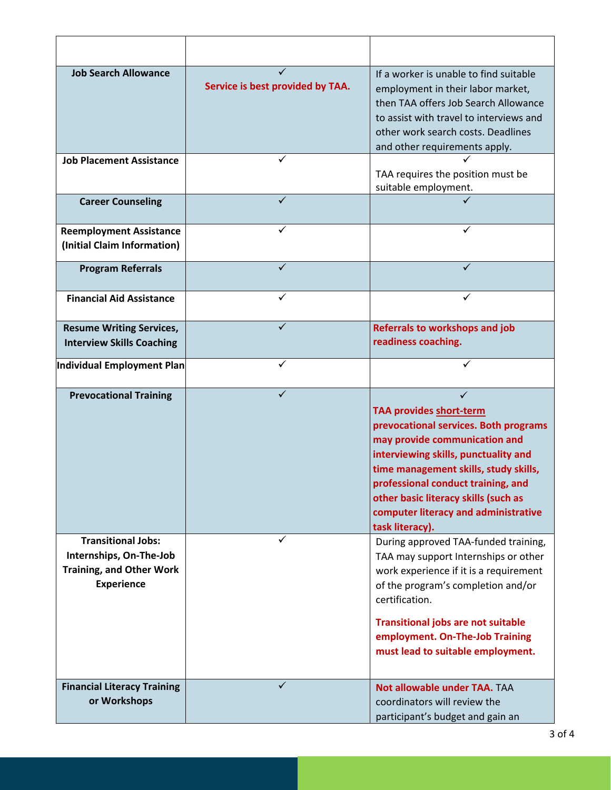| <b>Job Search Allowance</b>                                                                                  | Service is best provided by TAA. | If a worker is unable to find suitable<br>employment in their labor market,<br>then TAA offers Job Search Allowance<br>to assist with travel to interviews and<br>other work search costs. Deadlines<br>and other requirements apply.                                                                                       |
|--------------------------------------------------------------------------------------------------------------|----------------------------------|-----------------------------------------------------------------------------------------------------------------------------------------------------------------------------------------------------------------------------------------------------------------------------------------------------------------------------|
| <b>Job Placement Assistance</b>                                                                              |                                  | TAA requires the position must be<br>suitable employment.                                                                                                                                                                                                                                                                   |
| <b>Career Counseling</b>                                                                                     | ✓                                |                                                                                                                                                                                                                                                                                                                             |
| <b>Reemployment Assistance</b><br>(Initial Claim Information)                                                |                                  | ✓                                                                                                                                                                                                                                                                                                                           |
| <b>Program Referrals</b>                                                                                     |                                  | ✓                                                                                                                                                                                                                                                                                                                           |
| <b>Financial Aid Assistance</b>                                                                              |                                  |                                                                                                                                                                                                                                                                                                                             |
| <b>Resume Writing Services,</b><br><b>Interview Skills Coaching</b>                                          |                                  | <b>Referrals to workshops and job</b><br>readiness coaching.                                                                                                                                                                                                                                                                |
| Individual Employment Plan                                                                                   | ✓                                | ✓                                                                                                                                                                                                                                                                                                                           |
| <b>Prevocational Training</b>                                                                                | ✓                                | TAA provides short-term<br>prevocational services. Both programs<br>may provide communication and<br>interviewing skills, punctuality and<br>time management skills, study skills,<br>professional conduct training, and<br>other basic literacy skills (such as<br>computer literacy and administrative<br>task literacy). |
| <b>Transitional Jobs:</b><br>Internships, On-The-Job<br><b>Training, and Other Work</b><br><b>Experience</b> | ✓                                | During approved TAA-funded training,<br>TAA may support Internships or other<br>work experience if it is a requirement<br>of the program's completion and/or<br>certification.<br><b>Transitional jobs are not suitable</b><br>employment. On-The-Job Training<br>must lead to suitable employment.                         |
| <b>Financial Literacy Training</b><br>or Workshops                                                           |                                  | Not allowable under TAA. TAA<br>coordinators will review the<br>participant's budget and gain an                                                                                                                                                                                                                            |